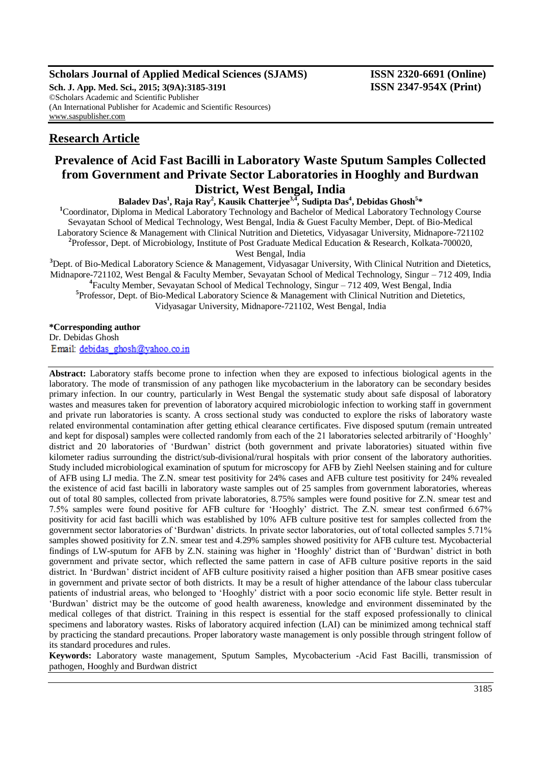## **Scholars Journal of Applied Medical Sciences (SJAMS) ISSN 2320-6691 (Online)**

**Sch. J. App. Med. Sci., 2015; 3(9A):3185-3191 ISSN 2347-954X (Print)** ©Scholars Academic and Scientific Publisher (An International Publisher for Academic and Scientific Resources) [www.saspublisher.com](http://www.saspublisher.com/)

# **Research Article**

# **Prevalence of Acid Fast Bacilli in Laboratory Waste Sputum Samples Collected from Government and Private Sector Laboratories in Hooghly and Burdwan District, West Bengal, India**

 $\mathbf{B}$ aladev  $\mathbf{Das}^1$ ,  $\mathbf{Raja Ray}^2$ ,  $\mathbf{Kausik Chatterjee}^{3,4}$ ,  $\mathbf{Subita Das}^4$ ,  $\mathbf{Debidas Ghosh}^{5,4}$ 

**<sup>1</sup>**Coordinator, Diploma in Medical Laboratory Technology and Bachelor of Medical Laboratory Technology Course Sevayatan School of Medical Technology, West Bengal, India & Guest Faculty Member, Dept. of Bio-Medical Laboratory Science & Management with Clinical Nutrition and Dietetics, Vidyasagar University, Midnapore-721102 **2** Professor, Dept. of Microbiology, Institute of Post Graduate Medical Education & Research, Kolkata-700020, West Bengal, India

**<sup>3</sup>**Dept. of Bio-Medical Laboratory Science & Management, Vidyasagar University, With Clinical Nutrition and Dietetics, Midnapore-721102, West Bengal & Faculty Member, Sevayatan School of Medical Technology, Singur – 712 409, India **4** Faculty Member, Sevayatan School of Medical Technology, Singur – 712 409, West Bengal, India **5** Professor, Dept. of Bio-Medical Laboratory Science & Management with Clinical Nutrition and Dietetics, Vidyasagar University, Midnapore-721102, West Bengal, India

**\*Corresponding author**

Dr. Debidas Ghosh Email: debidas ghosh@yahoo.co.in

**Abstract:** Laboratory staffs become prone to infection when they are exposed to infectious biological agents in the laboratory. The mode of transmission of any pathogen like mycobacterium in the laboratory can be secondary besides primary infection. In our country, particularly in West Bengal the systematic study about safe disposal of laboratory wastes and measures taken for prevention of laboratory acquired microbiologic infection to working staff in government and private run laboratories is scanty. A cross sectional study was conducted to explore the risks of laboratory waste related environmental contamination after getting ethical clearance certificates. Five disposed sputum (remain untreated and kept for disposal) samples were collected randomly from each of the 21 laboratories selected arbitrarily of 'Hooghly' district and 20 laboratories of 'Burdwan' district (both government and private laboratories) situated within five kilometer radius surrounding the district/sub-divisional/rural hospitals with prior consent of the laboratory authorities. Study included microbiological examination of sputum for microscopy for AFB by Ziehl Neelsen staining and for culture of AFB using LJ media. The Z.N. smear test positivity for 24% cases and AFB culture test positivity for 24% revealed the existence of acid fast bacilli in laboratory waste samples out of 25 samples from government laboratories, whereas out of total 80 samples, collected from private laboratories, 8.75% samples were found positive for Z.N. smear test and 7.5% samples were found positive for AFB culture for 'Hooghly' district. The Z.N. smear test confirmed 6.67% positivity for acid fast bacilli which was established by 10% AFB culture positive test for samples collected from the government sector laboratories of 'Burdwan' districts. In private sector laboratories, out of total collected samples 5.71% samples showed positivity for Z.N. smear test and 4.29% samples showed positivity for AFB culture test. Mycobacterial findings of LW-sputum for AFB by Z.N. staining was higher in 'Hooghly' district than of 'Burdwan' district in both government and private sector, which reflected the same pattern in case of AFB culture positive reports in the said district. In 'Burdwan' district incident of AFB culture positivity raised a higher position than AFB smear positive cases in government and private sector of both districts. It may be a result of higher attendance of the labour class tubercular patients of industrial areas, who belonged to 'Hooghly' district with a poor socio economic life style. Better result in 'Burdwan' district may be the outcome of good health awareness, knowledge and environment disseminated by the medical colleges of that district. Training in this respect is essential for the staff exposed professionally to clinical specimens and laboratory wastes. Risks of laboratory acquired infection (LAI) can be minimized among technical staff by practicing the standard precautions. Proper laboratory waste management is only possible through stringent follow of its standard procedures and rules.

**Keywords:** Laboratory waste management, Sputum Samples, Mycobacterium -Acid Fast Bacilli, transmission of pathogen, Hooghly and Burdwan district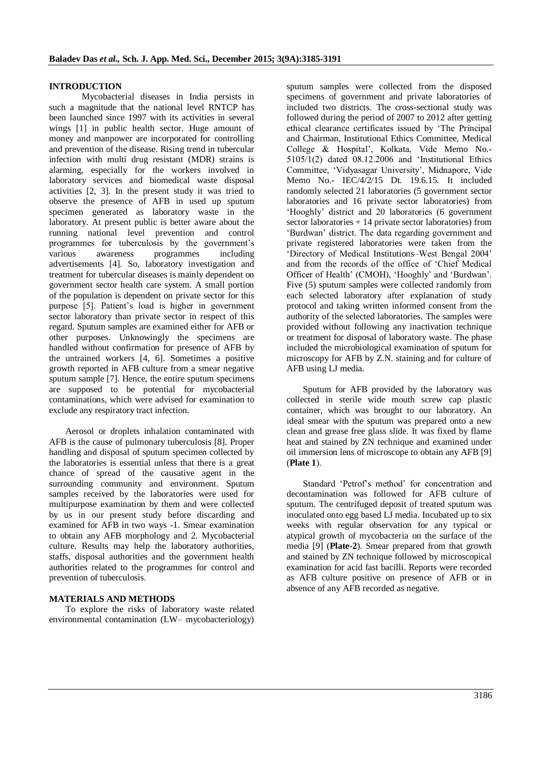### **INTRODUCTION**

Mycobacterial diseases in India persists in such a magnitude that the national level RNTCP has been launched since 1997 with its activities in several wings [1] in public health sector. Huge amount of money and manpower are incorporated for controlling and prevention of the disease. Rising trend in tubercular infection with multi drug resistant (MDR) strains is alarming, especially for the workers involved in laboratory services and biomedical waste disposal activities [2, 3]. In the present study it was tried to observe the presence of AFB in used up sputum specimen generated as laboratory waste in the laboratory. At present public is better aware about the running national level prevention and control programmes for tuberculosis by the government's various awareness programmes including advertisements [4]. So, laboratory investigation and treatment for tubercular diseases is mainly dependent on government sector health care system. A small portion of the population is dependent on private sector for this purpose [5]. Patient's load is higher in government sector laboratory than private sector in respect of this regard. Sputum samples are examined either for AFB or other purposes. Unknowingly the specimens are handled without confirmation for presence of AFB by the untrained workers [4, 6]. Sometimes a positive growth reported in AFB culture from a smear negative sputum sample [7]. Hence, the entire sputum specimens are supposed to be potential for mycobacterial contaminations, which were advised for examination to exclude any respiratory tract infection.

Aerosol or droplets inhalation contaminated with AFB is the cause of pulmonary tuberculosis [8]. Proper handling and disposal of sputum specimen collected by the laboratories is essential unless that there is a great chance of spread of the causative agent in the surrounding community and environment. Sputum samples received by the laboratories were used for multipurpose examination by them and were collected by us in our present study before discarding and examined for AFB in two ways -1. Smear examination to obtain any AFB morphology and 2. Mycobacterial culture. Results may help the laboratory authorities, staffs, disposal authorities and the government health authorities related to the programmes for control and prevention of tuberculosis.

#### **MATERIALS AND METHODS**

To explore the risks of laboratory waste related environmental contamination (LW– mycobacteriology)

sputum samples were collected from the disposed specimens of government and private laboratories of included two districts. The cross-sectional study was followed during the period of 2007 to 2012 after getting ethical clearance certificates issued by 'The Principal and Chairman, Institutional Ethics Committee, Medical College & Hospital', Kolkata, Vide Memo No.- 5105/1(2) dated 08.12.2006 and 'Institutional Ethics Committee, 'Vidyasagar University', Midnapore, Vide Memo No.- IEC/4/2/15 Dt. 19.6.15. It included randomly selected 21 laboratories (5 government sector laboratories and 16 private sector laboratories) from 'Hooghly' district and 20 laboratories (6 government sector laboratories + 14 private sector laboratories) from 'Burdwan' district. The data regarding government and private registered laboratories were taken from the 'Directory of Medical Institutions–West Bengal 2004' and from the records of the office of 'Chief Medical Officer of Health' (CMOH), 'Hooghly' and 'Burdwan'. Five (5) sputum samples were collected randomly from each selected laboratory after explanation of study protocol and taking written informed consent from the authority of the selected laboratories. The samples were provided without following any inactivation technique or treatment for disposal of laboratory waste. The phase included the microbiological examination of sputum for microscopy for AFB by Z.N. staining and for culture of AFB using LJ media.

Sputum for AFB provided by the laboratory was collected in sterile wide mouth screw cap plastic container, which was brought to our laboratory. An ideal smear with the sputum was prepared onto a new clean and grease free glass slide. It was fixed by flame heat and stained by ZN technique and examined under oil immersion lens of microscope to obtain any AFB [9] (**Plate 1**).

Standard 'Petrof's method' for concentration and decontamination was followed for AFB culture of sputum. The centrifuged deposit of treated sputum was inoculated onto egg based LJ media. Incubated up to six weeks with regular observation for any typical or atypical growth of mycobacteria on the surface of the media [9] (**Plate-2**). Smear prepared from that growth and stained by ZN technique followed by microscopical examination for acid fast bacilli. Reports were recorded as AFB culture positive on presence of AFB or in absence of any AFB recorded as negative.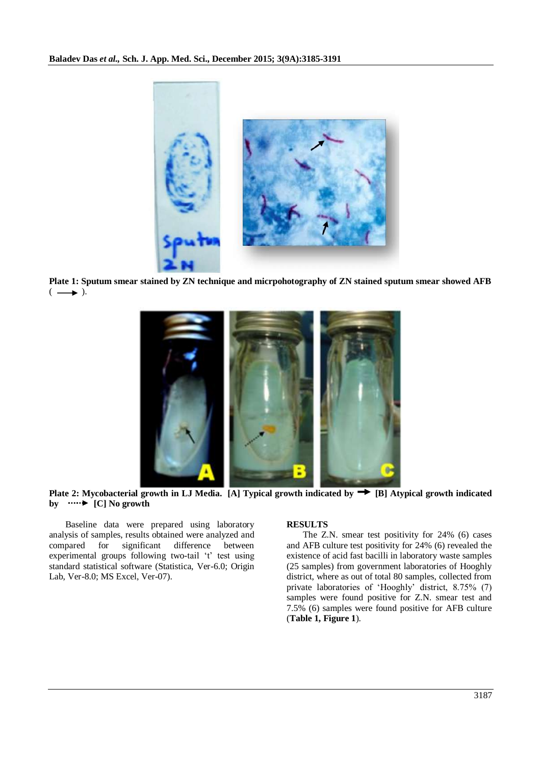

**Plate 1: Sputum smear stained by ZN technique and micrpohotography of ZN stained sputum smear showed AFB**  $(\longrightarrow).$ 



**Plate 2: Mycobacterial growth in LJ Media. [A] Typical growth indicated by [B] Atypical growth indicated by**  $\cdots$  [C] No growth

Baseline data were prepared using laboratory analysis of samples, results obtained were analyzed and compared for significant difference between experimental groups following two-tail 't' test using standard statistical software (Statistica, Ver-6.0; Origin Lab, Ver-8.0; MS Excel, Ver-07).

## **RESULTS**

The Z.N. smear test positivity for 24% (6) cases and AFB culture test positivity for 24% (6) revealed the existence of acid fast bacilli in laboratory waste samples (25 samples) from government laboratories of Hooghly district, where as out of total 80 samples, collected from private laboratories of 'Hooghly' district, 8.75% (7) samples were found positive for Z.N. smear test and 7.5% (6) samples were found positive for AFB culture (**Table 1, Figure 1**).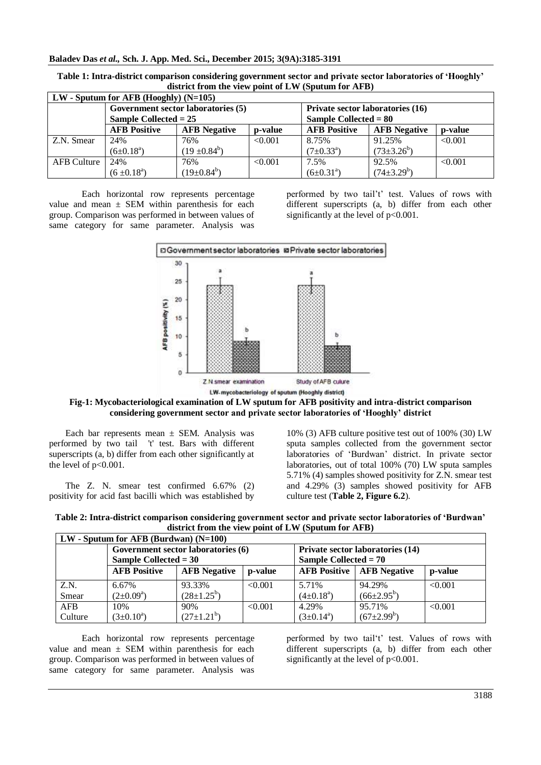#### **Baladev Das** *et al.,* **Sch. J. App. Med. Sci., December 2015; 3(9A):3185-3191**

| $\sim$                                  |                         |                     |         |                                  |                     |         |  |
|-----------------------------------------|-------------------------|---------------------|---------|----------------------------------|---------------------|---------|--|
| $LW$ - Sputum for AFB (Hooghly) (N=105) |                         |                     |         |                                  |                     |         |  |
| Government sector laboratories (5)      |                         |                     |         | Private sector laboratories (16) |                     |         |  |
|                                         | Sample Collected $= 25$ |                     |         | Sample Collected = $80$          |                     |         |  |
|                                         | <b>AFB Positive</b>     | <b>AFB</b> Negative | p-value | <b>AFB Positive</b>              | <b>AFB</b> Negative | p-value |  |
| Z.N. Smear                              | 24%                     | 76%                 | < 0.001 | 8.75%                            | 91.25%              | < 0.001 |  |
|                                         | $(6\pm0.18^a)$          | $(19 \pm 0.84^b)$   |         | $(7\pm0.33^{\circ})$             | $(73\pm3.26^b)$     |         |  |
| AFB Culture                             | 24%                     | 76%                 | < 0.001 | 7.5%                             | 92.5%               | < 0.001 |  |
|                                         | $(6 \pm 0.18^{\circ})$  | $(19\pm0.84^b)$     |         | $(6\pm0.31^{\circ})$             | $(74\pm3.29^b)$     |         |  |

**Table 1: Intra-district comparison considering government sector and private sector laboratories of 'Hooghly' district from the view point of LW (Sputum for AFB)**

Each horizontal row represents percentage value and mean  $\pm$  SEM within parenthesis for each group. Comparison was performed in between values of same category for same parameter. Analysis was performed by two tail't' test. Values of rows with different superscripts (a, b) differ from each other significantly at the level of  $p<0.001$ .



**Fig-1: Mycobacteriological examination of LW sputum for AFB positivity and intra-district comparison considering government sector and private sector laboratories of 'Hooghly' district**

Each bar represents mean  $\pm$  SEM. Analysis was performed by two tail 't' test. Bars with different superscripts (a, b) differ from each other significantly at the level of p<0.001.

The Z. N. smear test confirmed 6.67% (2) positivity for acid fast bacilli which was established by

10% (3) AFB culture positive test out of 100% (30) LW sputa samples collected from the government sector laboratories of 'Burdwan' district. In private sector laboratories, out of total 100% (70) LW sputa samples 5.71% (4) samples showed positivity for Z.N. smear test and 4.29% (3) samples showed positivity for AFB culture test (**Table 2, Figure 6.2**).

| $LW$ - Sputum for AFB (Burdwan) (N=100) |                                    |                     |         |                                  |                                           |         |
|-----------------------------------------|------------------------------------|---------------------|---------|----------------------------------|-------------------------------------------|---------|
|                                         | Government sector laboratories (6) |                     |         | Private sector laboratories (14) |                                           |         |
|                                         | Sample Collected $= 30$            |                     |         | Sample Collected $= 70$          |                                           |         |
|                                         | <b>AFB Positive</b>                | <b>AFB</b> Negative | p-value |                                  | <b>AFB Positive</b>   <b>AFB</b> Negative | p-value |
| Z.N.                                    | 6.67%                              | 93.33%              | < 0.001 | 5.71%                            | 94.29%                                    | < 0.001 |
| Smear                                   | $(2\pm 0.09^a)$                    | $(28\pm1.25^b)$     |         | $(4\pm0.18^a)$                   | $(66\pm2.95^b)$                           |         |
| <b>AFB</b>                              | 10%                                | 90%                 | < 0.001 | 4.29%                            | 95.71%                                    | < 0.001 |
| Culture                                 | $(3\pm0.10^a)$                     | $(27\pm1.21^b)$     |         | $(3\pm 0.14^a)$                  | $(67\pm2.99^b)$                           |         |

**Table 2: Intra-district comparison considering government sector and private sector laboratories of 'Burdwan' district from the view point of LW (Sputum for AFB)**

Each horizontal row represents percentage value and mean  $\pm$  SEM within parenthesis for each group. Comparison was performed in between values of same category for same parameter. Analysis was performed by two tail't' test. Values of rows with different superscripts (a, b) differ from each other significantly at the level of  $p<0.001$ .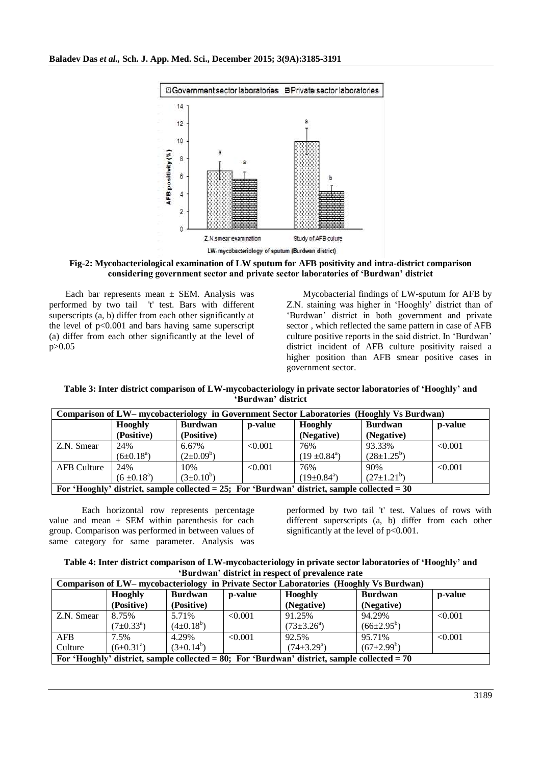

**Fig-2: Mycobacteriological examination of LW sputum for AFB positivity and intra-district comparison considering government sector and private sector laboratories of 'Burdwan' district**

Each bar represents mean  $\pm$  SEM. Analysis was performed by two tail 't' test. Bars with different superscripts (a, b) differ from each other significantly at the level of  $p<0.001$  and bars having same superscript (a) differ from each other significantly at the level of p>0.05

Mycobacterial findings of LW-sputum for AFB by Z.N. staining was higher in 'Hooghly' district than of 'Burdwan' district in both government and private sector , which reflected the same pattern in case of AFB culture positive reports in the said district. In 'Burdwan' district incident of AFB culture positivity raised a higher position than AFB smear positive cases in government sector.

| Table 3: Inter district comparison of LW-mycobacteriology in private sector laboratories of 'Hooghly' and |  |
|-----------------------------------------------------------------------------------------------------------|--|
| 'Burdwan' district                                                                                        |  |

| Comparison of LW– mycobacteriology in Government Sector Laboratories (Hooghly Vs Burdwan)    |                        |                |         |                         |                 |         |
|----------------------------------------------------------------------------------------------|------------------------|----------------|---------|-------------------------|-----------------|---------|
|                                                                                              | <b>Hooghly</b>         | <b>Burdwan</b> | p-value | <b>Hooghly</b>          | <b>Burdwan</b>  | p-value |
|                                                                                              | (Positive)             | (Positive)     |         | (Negative)              | (Negative)      |         |
| Z.N. Smear                                                                                   | 24%                    | 6.67%          | < 0.001 | 76%                     | 93.33%          | < 0.001 |
|                                                                                              | $(6\pm0.18^a)$         | $(2\pm0.09^b)$ |         | $(19 \pm 0.84^{\circ})$ | $(28\pm1.25^b)$ |         |
| <b>AFB</b> Culture                                                                           | 24%                    | 10%            | < 0.001 | 76%                     | 90%             | < 0.001 |
|                                                                                              | $(6 \pm 0.18^{\circ})$ | $(3\pm0.10^b)$ |         | $(19\pm0.84^{\circ})$   | $(27\pm1.21^b)$ |         |
| For 'Hooghly' district, sample collected = 25; For 'Burdwan' district, sample collected = 30 |                        |                |         |                         |                 |         |

Each horizontal row represents percentage value and mean  $\pm$  SEM within parenthesis for each group. Comparison was performed in between values of same category for same parameter. Analysis was

performed by two tail 't' test. Values of rows with different superscripts (a, b) differ from each other significantly at the level of  $p<0.001$ .

| Table 4: Inter district comparison of LW-mycobacteriology in private sector laboratories of 'Hooghly' and |  |
|-----------------------------------------------------------------------------------------------------------|--|
| 'Burdwan' district in respect of prevalence rate                                                          |  |

| Comparison of LW– mycobacteriology in Private Sector Laboratories (Hooghly Vs Burdwan)         |                      |                |         |                       |                   |         |
|------------------------------------------------------------------------------------------------|----------------------|----------------|---------|-----------------------|-------------------|---------|
|                                                                                                | <b>Hooghly</b>       | <b>Burdwan</b> | p-value | Hooghly               | <b>Burdwan</b>    | p-value |
|                                                                                                | (Positive)           | (Positive)     |         | (Negative)            | (Negative)        |         |
| Z.N. Smear                                                                                     | 8.75%                | 5.71%          | < 0.001 | 91.25%                | 94.29%            | < 0.001 |
|                                                                                                | $(7\pm0.33^{\rm a})$ | $(4\pm0.18^b)$ |         | $(73\pm3.26^{\circ})$ | $(66\pm2.95^b)$   |         |
| <b>AFB</b>                                                                                     | 7.5%                 | 4.29%          | < 0.001 | 92.5%                 | 95.71%            | < 0.001 |
| Culture                                                                                        | $(6\pm0.31^{\circ})$ | $(3\pm0.14^b)$ |         | $(74\pm3.29^a)$       | $(67{\pm}2.99^b)$ |         |
| For 'Hooghly' district, sample collected = 80; For 'Burdwan' district, sample collected = $70$ |                      |                |         |                       |                   |         |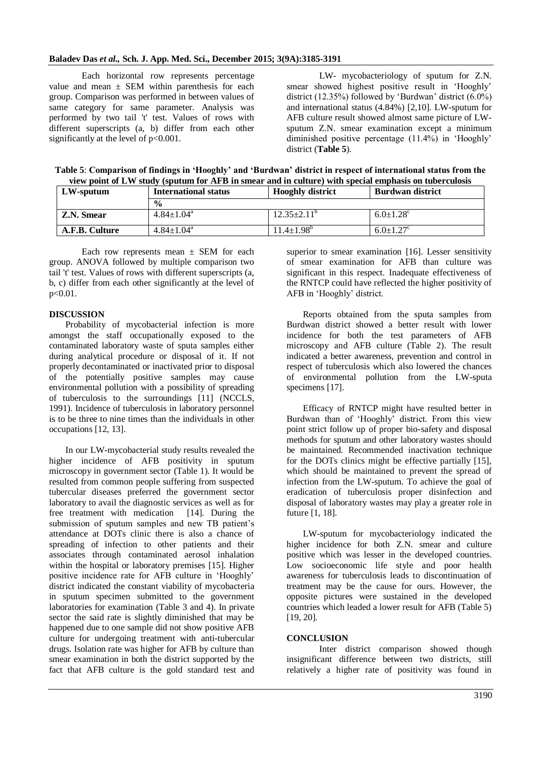Each horizontal row represents percentage value and mean  $\pm$  SEM within parenthesis for each group. Comparison was performed in between values of same category for same parameter. Analysis was performed by two tail 't' test. Values of rows with different superscripts (a, b) differ from each other significantly at the level of  $p<0.001$ .

LW- mycobacteriology of sputum for Z.N. smear showed highest positive result in 'Hooghly' district (12.35%) followed by 'Burdwan' district (6.0%) and international status (4.84%) [2,10]. LW-sputum for AFB culture result showed almost same picture of LWsputum Z.N. smear examination except a minimum diminished positive percentage (11.4%) in 'Hooghly' district (**Table 5**).

**Table 5**: **Comparison of findings in 'Hooghly' and 'Burdwan' district in respect of international status from the view point of LW study (sputum for AFB in smear and in culture) with special emphasis on tuberculosis**

| LW-sputum      | <b>International status</b>  | <b>Hooghly district</b>  | <b>Burdwan district</b>     |
|----------------|------------------------------|--------------------------|-----------------------------|
|                | $\frac{6}{9}$                |                          |                             |
| Z.N. Smear     | $4.84 \pm 1.04$ <sup>a</sup> | $12.35 \pm 2.11^{\circ}$ | $6.0 \pm 1.28$ <sup>c</sup> |
| A.F.B. Culture | $4.84 \pm 1.04$ <sup>a</sup> | $11.4 \pm 1.98^{\circ}$  | $6.0 \pm 1.27$ <sup>c</sup> |

Each row represents mean  $\pm$  SEM for each group. ANOVA followed by multiple comparison two tail 't' test. Values of rows with different superscripts (a, b, c) differ from each other significantly at the level of p<0.01.

### **DISCUSSION**

Probability of mycobacterial infection is more amongst the staff occupationally exposed to the contaminated laboratory waste of sputa samples either during analytical procedure or disposal of it. If not properly decontaminated or inactivated prior to disposal of the potentially positive samples may cause environmental pollution with a possibility of spreading of tuberculosis to the surroundings [11] (NCCLS, 1991). Incidence of tuberculosis in laboratory personnel is to be three to nine times than the individuals in other occupations [12, 13].

In our LW-mycobacterial study results revealed the higher incidence of AFB positivity in sputum microscopy in government sector (Table 1). It would be resulted from common people suffering from suspected tubercular diseases preferred the government sector laboratory to avail the diagnostic services as well as for free treatment with medication [14]. During the submission of sputum samples and new TB patient's attendance at DOTs clinic there is also a chance of spreading of infection to other patients and their associates through contaminated aerosol inhalation within the hospital or laboratory premises [15]. Higher positive incidence rate for AFB culture in 'Hooghly' district indicated the constant viability of mycobacteria in sputum specimen submitted to the government laboratories for examination (Table 3 and 4). In private sector the said rate is slightly diminished that may be happened due to one sample did not show positive AFB culture for undergoing treatment with anti-tubercular drugs. Isolation rate was higher for AFB by culture than smear examination in both the district supported by the fact that AFB culture is the gold standard test and

superior to smear examination [16]. Lesser sensitivity of smear examination for AFB than culture was significant in this respect. Inadequate effectiveness of the RNTCP could have reflected the higher positivity of AFB in 'Hooghly' district.

Reports obtained from the sputa samples from Burdwan district showed a better result with lower incidence for both the test parameters of AFB microscopy and AFB culture (Table 2). The result indicated a better awareness, prevention and control in respect of tuberculosis which also lowered the chances of environmental pollution from the LW-sputa specimens [17].

Efficacy of RNTCP might have resulted better in Burdwan than of 'Hooghly' district. From this view point strict follow up of proper bio-safety and disposal methods for sputum and other laboratory wastes should be maintained. Recommended inactivation technique for the DOTs clinics might be effective partially [15], which should be maintained to prevent the spread of infection from the LW-sputum. To achieve the goal of eradication of tuberculosis proper disinfection and disposal of laboratory wastes may play a greater role in future [1, 18].

LW-sputum for mycobacteriology indicated the higher incidence for both Z.N. smear and culture positive which was lesser in the developed countries. Low socioeconomic life style and poor health awareness for tuberculosis leads to discontinuation of treatment may be the cause for ours. However, the opposite pictures were sustained in the developed countries which leaded a lower result for AFB (Table 5) [19, 20].

#### **CONCLUSION**

Inter district comparison showed though insignificant difference between two districts, still relatively a higher rate of positivity was found in